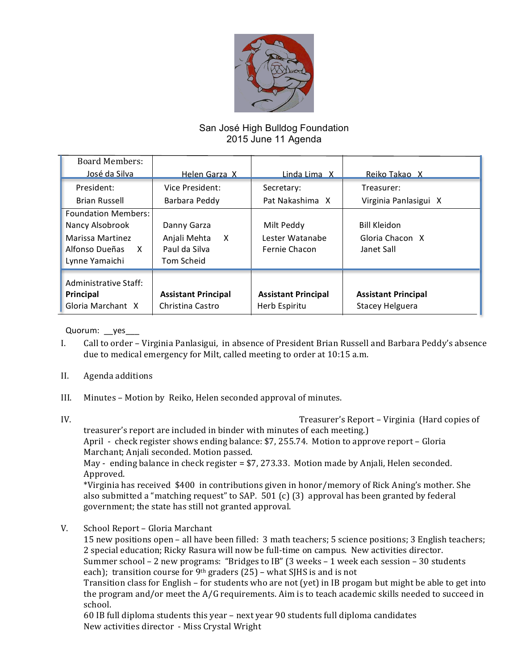

## San José High Bulldog Foundation 2015 June 11 Agenda

| <b>Board Members:</b>                                                                                      |                                                                 |                                                |                                                      |
|------------------------------------------------------------------------------------------------------------|-----------------------------------------------------------------|------------------------------------------------|------------------------------------------------------|
| José da Silva                                                                                              | Helen Garza X                                                   | Linda Lima X                                   | Reiko Takao X                                        |
| President:                                                                                                 | Vice President:                                                 | Secretary:                                     | Treasurer:                                           |
| Brian Russell                                                                                              | Barbara Peddy                                                   | Pat Nakashima X                                | Virginia Panlasigui X                                |
| <b>Foundation Members:</b><br>Nancy Alsobrook<br>Marissa Martinez<br>Alfonso Dueñas<br>X<br>Lynne Yamaichi | Danny Garza<br>X<br>Anjali Mehta<br>Paul da Silva<br>Tom Scheid | Milt Peddy<br>Lester Watanabe<br>Fernie Chacon | <b>Bill Kleidon</b><br>Gloria Chacon X<br>Janet Sall |
| Administrative Staff:<br>Principal<br>Gloria Marchant X                                                    | <b>Assistant Principal</b><br>Christina Castro                  | <b>Assistant Principal</b><br>Herb Espiritu    | <b>Assistant Principal</b><br>Stacey Helguera        |

Quorum: \_\_yes\_\_\_

- I. Call to order Virginia Panlasigui, in absence of President Brian Russell and Barbara Peddy's absence due to medical emergency for Milt, called meeting to order at  $10:15$  a.m.
- II. Agenda additions
- III. Minutes Motion by Reiko, Helen seconded approval of minutes.
- 

IV. Treasurer's Report – Virginia (Hard copies of

treasurer's report are included in binder with minutes of each meeting.) April - check register shows ending balance: \$7, 255.74. Motion to approve report - Gloria Marchant; Anjali seconded. Motion passed.

May - ending balance in check register = \$7, 273.33. Motion made by Anjali, Helen seconded. Approved.

\*Virginia has received \$400 in contributions given in honor/memory of Rick Aning's mother. She also submitted a "matching request" to SAP.  $501$  (c) (3) approval has been granted by federal government; the state has still not granted approval.

V. School Report – Gloria Marchant

15 new positions open – all have been filled: 3 math teachers; 5 science positions; 3 English teachers; 2 special education; Ricky Rasura will now be full-time on campus. New activities director. Summer school – 2 new programs: "Bridges to IB" (3 weeks – 1 week each session – 30 students

each); transition course for 9<sup>th</sup> graders (25) – what SJHS is and is not

Transition class for English – for students who are not (yet) in IB progam but might be able to get into the program and/or meet the  $A/G$  requirements. Aim is to teach academic skills needed to succeed in school.

60 IB full diploma students this year – next year 90 students full diploma candidates New activities director - Miss Crystal Wright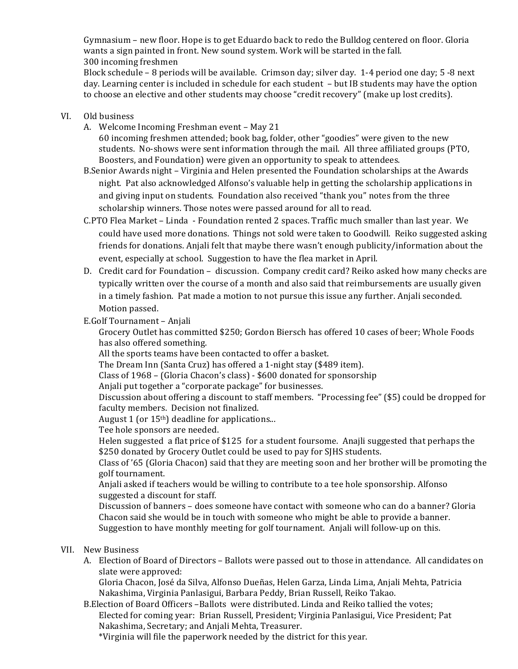Gymnasium – new floor. Hope is to get Eduardo back to redo the Bulldog centered on floor. Gloria wants a sign painted in front. New sound system. Work will be started in the fall. 300 incoming freshmen

Block schedule – 8 periods will be available. Crimson day; silver day. 1-4 period one day; 5 -8 next day. Learning center is included in schedule for each student – but IB students may have the option to choose an elective and other students may choose "credit recovery" (make up lost credits).

## VI. Old business

A. Welcome Incoming Freshman event – May 21

60 incoming freshmen attended; book bag, folder, other "goodies" were given to the new students. No-shows were sent information through the mail. All three affiliated groups (PTO, Boosters, and Foundation) were given an opportunity to speak to attendees.

- B.Senior Awards night Virginia and Helen presented the Foundation scholarships at the Awards night. Pat also acknowledged Alfonso's valuable help in getting the scholarship applications in and giving input on students. Foundation also received "thank you" notes from the three scholarship winners. Those notes were passed around for all to read.
- C.PTO Flea Market Linda Foundation rented 2 spaces. Traffic much smaller than last year. We could have used more donations. Things not sold were taken to Goodwill. Reiko suggested asking friends for donations. Anjali felt that maybe there wasn't enough publicity/information about the event, especially at school. Suggestion to have the flea market in April.
- D. Credit card for Foundation discussion. Company credit card? Reiko asked how many checks are typically written over the course of a month and also said that reimbursements are usually given in a timely fashion. Pat made a motion to not pursue this issue any further. Anjali seconded. Motion passed.

## E.Golf Tournament – Anjali

Grocery Outlet has committed \$250; Gordon Biersch has offered 10 cases of beer; Whole Foods has also offered something.

All the sports teams have been contacted to offer a basket.

The Dream Inn (Santa Cruz) has offered a 1-night stay (\$489 item).

Class of 1968 – (Gloria Chacon's class) - \$600 donated for sponsorship

Anjali put together a "corporate package" for businesses.

Discussion about offering a discount to staff members. "Processing fee" (\$5) could be dropped for faculty members. Decision not finalized.

August 1 (or  $15<sup>th</sup>$ ) deadline for applications...

Tee hole sponsors are needed.

Helen suggested a flat price of \$125 for a student foursome. Anajli suggested that perhaps the \$250 donated by Grocery Outlet could be used to pay for SJHS students.

Class of '65 (Gloria Chacon) said that they are meeting soon and her brother will be promoting the golf tournament.

Anjali asked if teachers would be willing to contribute to a tee hole sponsorship. Alfonso suggested a discount for staff.

Discussion of banners – does someone have contact with someone who can do a banner? Gloria Chacon said she would be in touch with someone who might be able to provide a banner. Suggestion to have monthly meeting for golf tournament. Anjali will follow-up on this.

## VII. New Business

A. Election of Board of Directors – Ballots were passed out to those in attendance. All candidates on slate were approved:

Gloria Chacon, José da Silva, Alfonso Dueñas, Helen Garza, Linda Lima, Anjali Mehta, Patricia Nakashima, Virginia Panlasigui, Barbara Peddy, Brian Russell, Reiko Takao.

B. Election of Board Officers – Ballots were distributed. Linda and Reiko tallied the votes; Elected for coming year: Brian Russell, President; Virginia Panlasigui, Vice President; Pat Nakashima, Secretary; and Anjali Mehta, Treasurer.

\*Virginia will file the paperwork needed by the district for this year.